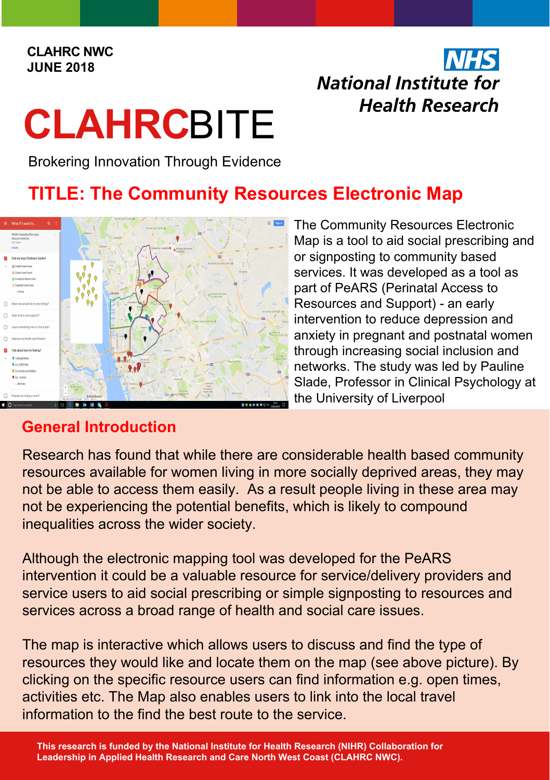#### **CLAHRC NWC JUNE 2018**

# **INHS** National Institute for **Health Research**

# **CLAHRC**BITE

Brokering Innovation Through Evidence

# **TITLE: The Community Resources Electronic Map**



The Community Resources Electronic Map is a tool to aid social prescribing and or signposting to community based services. It was developed as a tool as part of PeARS (Perinatal Access to Resources and Support) - an early intervention to reduce depression and anxiety in pregnant and postnatal women through increasing social inclusion and networks. The study was led by Pauline Slade, Professor in Clinical Psychology at the University of Liverpool

# **General Introduction**

Research has found that while there are considerable health based community resources available for women living in more socially deprived areas, they may not be able to access them easily. As a result people living in these area may not be experiencing the potential benefits, which is likely to compound inequalities across the wider society.

Although the electronic mapping tool was developed for the PeARS intervention it could be a valuable resource for service/delivery providers and service users to aid social prescribing or simple signposting to resources and services across a broad range of health and social care issues.

The map is interactive which allows users to discuss and find the type of resources they would like and locate them on the map (see above picture). By clicking on the specific resource users can find information e.g. open times, activities etc. The Map also enables users to link into the local travel information to the find the best route to the service.